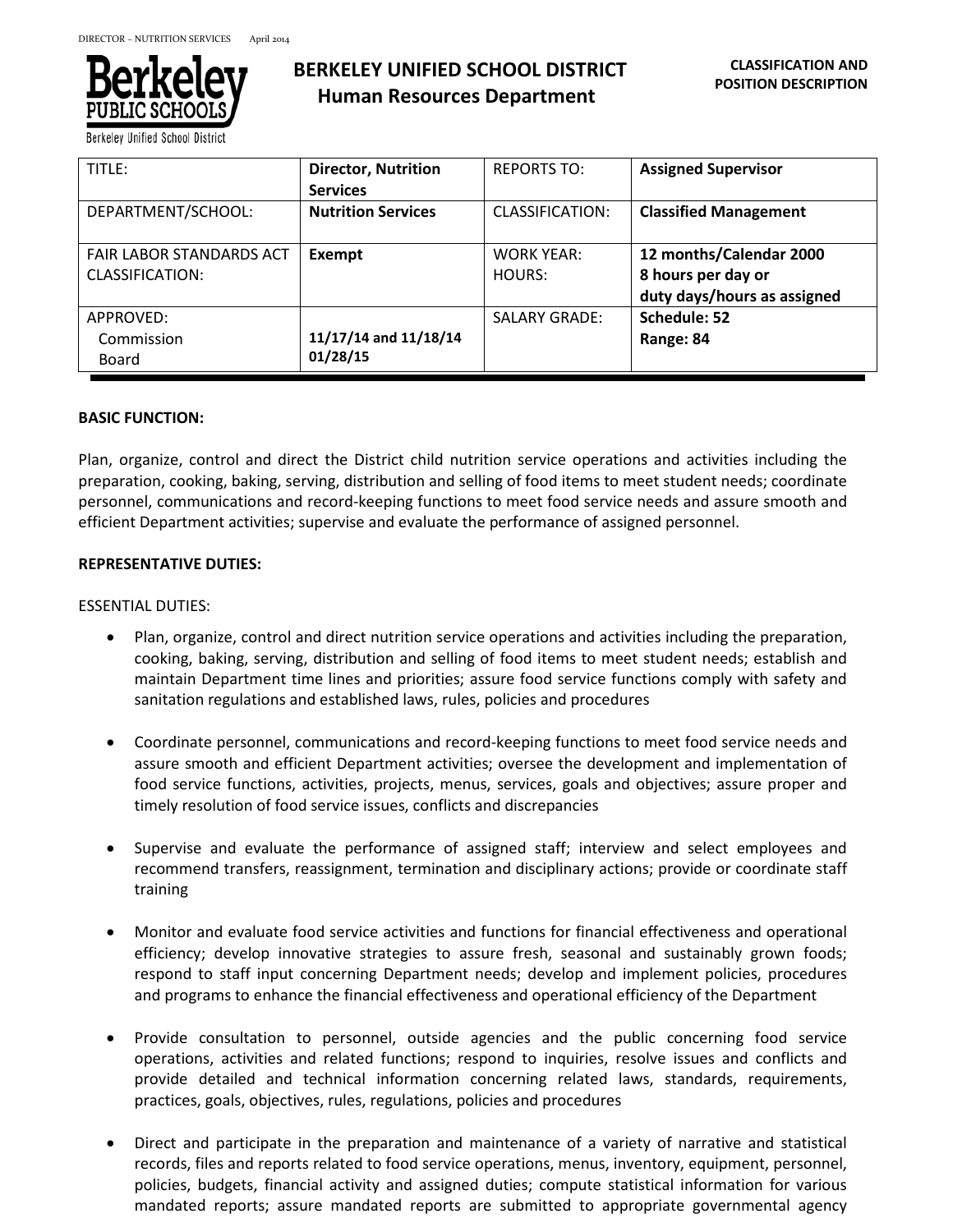

Berkeley Unified School District

| TITLE:                          | <b>Director, Nutrition</b> | <b>REPORTS TO:</b>   | <b>Assigned Supervisor</b>   |
|---------------------------------|----------------------------|----------------------|------------------------------|
|                                 | <b>Services</b>            |                      |                              |
| DEPARTMENT/SCHOOL:              | <b>Nutrition Services</b>  | CLASSIFICATION:      | <b>Classified Management</b> |
|                                 |                            |                      |                              |
| <b>FAIR LABOR STANDARDS ACT</b> | Exempt                     | <b>WORK YEAR:</b>    | 12 months/Calendar 2000      |
| <b>CLASSIFICATION:</b>          |                            | HOURS:               | 8 hours per day or           |
|                                 |                            |                      | duty days/hours as assigned  |
| APPROVED:                       |                            | <b>SALARY GRADE:</b> | Schedule: 52                 |
| Commission                      | 11/17/14 and 11/18/14      |                      | Range: 84                    |
| Board                           | 01/28/15                   |                      |                              |

# **BASIC FUNCTION:**

Plan, organize, control and direct the District child nutrition service operations and activities including the preparation, cooking, baking, serving, distribution and selling of food items to meet student needs; coordinate personnel, communications and record-keeping functions to meet food service needs and assure smooth and efficient Department activities; supervise and evaluate the performance of assigned personnel.

# **REPRESENTATIVE DUTIES:**

# ESSENTIAL DUTIES:

- Plan, organize, control and direct nutrition service operations and activities including the preparation, cooking, baking, serving, distribution and selling of food items to meet student needs; establish and maintain Department time lines and priorities; assure food service functions comply with safety and sanitation regulations and established laws, rules, policies and procedures
- Coordinate personnel, communications and record-keeping functions to meet food service needs and assure smooth and efficient Department activities; oversee the development and implementation of food service functions, activities, projects, menus, services, goals and objectives; assure proper and timely resolution of food service issues, conflicts and discrepancies
- Supervise and evaluate the performance of assigned staff; interview and select employees and recommend transfers, reassignment, termination and disciplinary actions; provide or coordinate staff training
- Monitor and evaluate food service activities and functions for financial effectiveness and operational efficiency; develop innovative strategies to assure fresh, seasonal and sustainably grown foods; respond to staff input concerning Department needs; develop and implement policies, procedures and programs to enhance the financial effectiveness and operational efficiency of the Department
- Provide consultation to personnel, outside agencies and the public concerning food service operations, activities and related functions; respond to inquiries, resolve issues and conflicts and provide detailed and technical information concerning related laws, standards, requirements, practices, goals, objectives, rules, regulations, policies and procedures
- Direct and participate in the preparation and maintenance of a variety of narrative and statistical records, files and reports related to food service operations, menus, inventory, equipment, personnel, policies, budgets, financial activity and assigned duties; compute statistical information for various mandated reports; assure mandated reports are submitted to appropriate governmental agency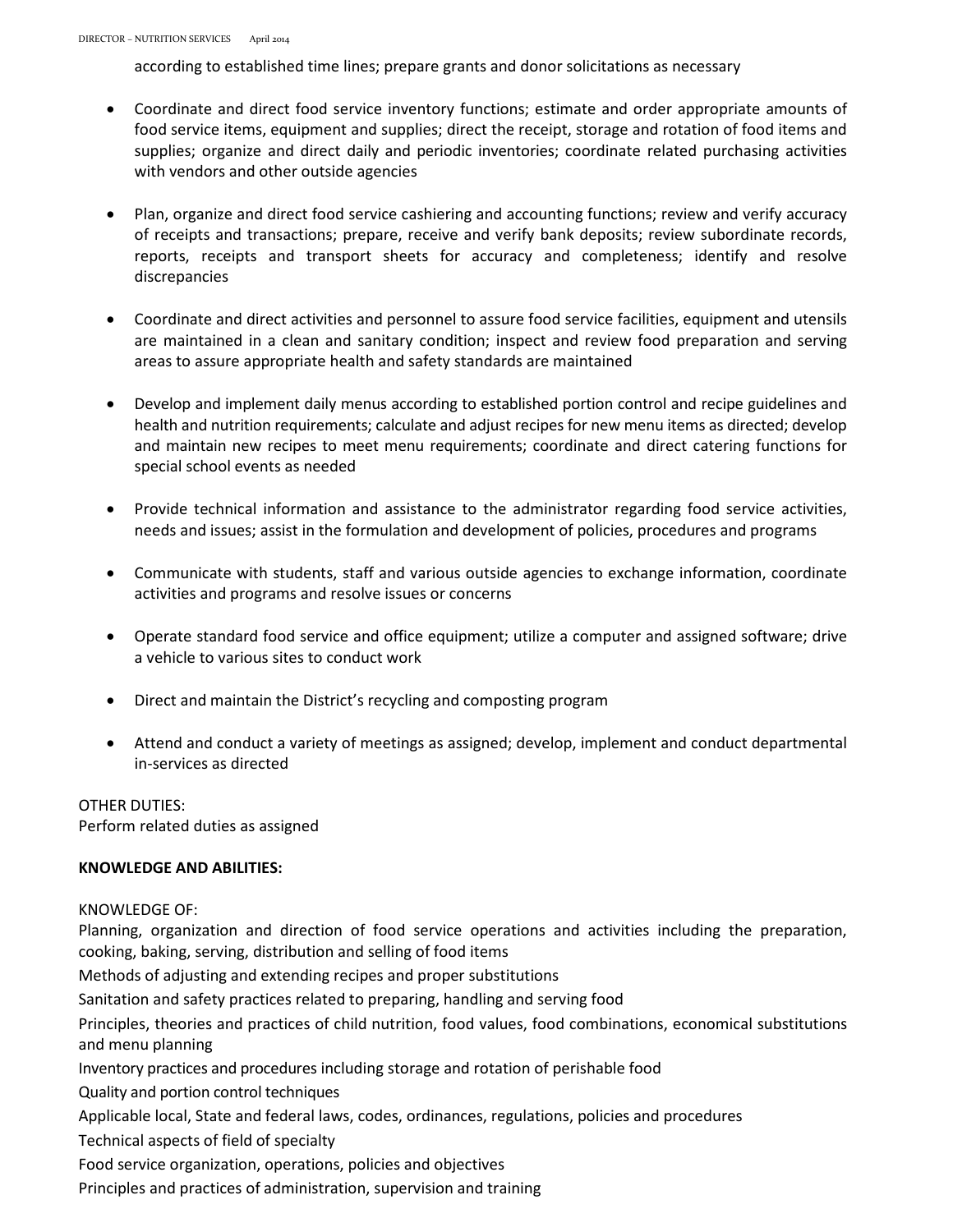according to established time lines; prepare grants and donor solicitations as necessary

- Coordinate and direct food service inventory functions; estimate and order appropriate amounts of food service items, equipment and supplies; direct the receipt, storage and rotation of food items and supplies; organize and direct daily and periodic inventories; coordinate related purchasing activities with vendors and other outside agencies
- Plan, organize and direct food service cashiering and accounting functions; review and verify accuracy of receipts and transactions; prepare, receive and verify bank deposits; review subordinate records, reports, receipts and transport sheets for accuracy and completeness; identify and resolve discrepancies
- Coordinate and direct activities and personnel to assure food service facilities, equipment and utensils are maintained in a clean and sanitary condition; inspect and review food preparation and serving areas to assure appropriate health and safety standards are maintained
- Develop and implement daily menus according to established portion control and recipe guidelines and health and nutrition requirements; calculate and adjust recipes for new menu items as directed; develop and maintain new recipes to meet menu requirements; coordinate and direct catering functions for special school events as needed
- Provide technical information and assistance to the administrator regarding food service activities, needs and issues; assist in the formulation and development of policies, procedures and programs
- Communicate with students, staff and various outside agencies to exchange information, coordinate activities and programs and resolve issues or concerns
- Operate standard food service and office equipment; utilize a computer and assigned software; drive a vehicle to various sites to conduct work
- Direct and maintain the District's recycling and composting program
- Attend and conduct a variety of meetings as assigned; develop, implement and conduct departmental in-services as directed

OTHER DUTIES: Perform related duties as assigned

# **KNOWLEDGE AND ABILITIES:**

# KNOWLEDGE OF:

Planning, organization and direction of food service operations and activities including the preparation, cooking, baking, serving, distribution and selling of food items

Methods of adjusting and extending recipes and proper substitutions

Sanitation and safety practices related to preparing, handling and serving food

Principles, theories and practices of child nutrition, food values, food combinations, economical substitutions and menu planning

Inventory practices and procedures including storage and rotation of perishable food

Quality and portion control techniques

Applicable local, State and federal laws, codes, ordinances, regulations, policies and procedures

Technical aspects of field of specialty

Food service organization, operations, policies and objectives

Principles and practices of administration, supervision and training